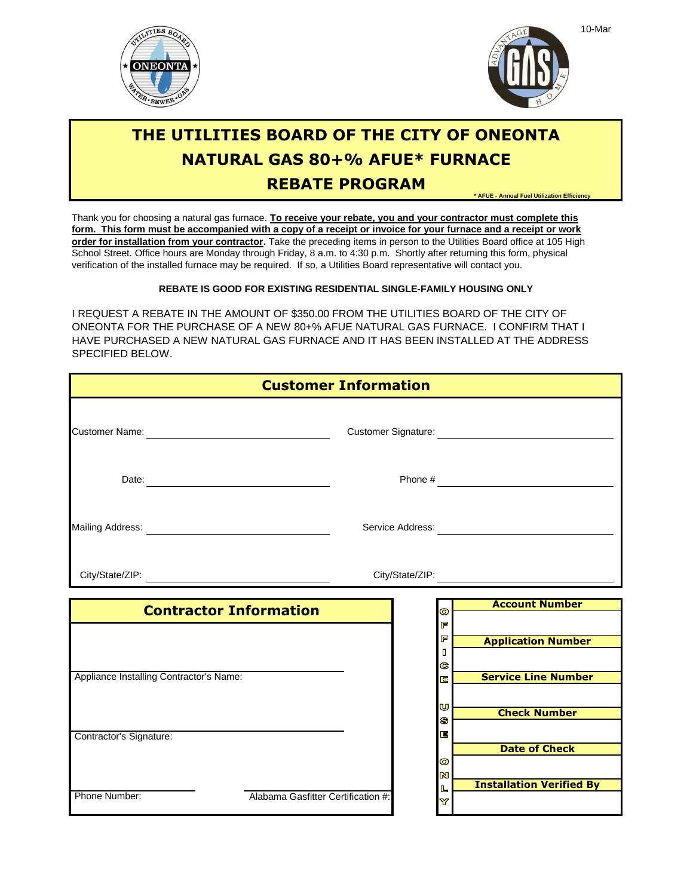



## **THE UTILITIES BOARD OF THE CITY OF ONEONTA NATURAL GAS 80+% AFUE\* FURNACE \* AFUE - Annual Fuel Utilization Efficiency REBATE PROGRAM**

School Street. Office hours are Monday through Friday, 8 a.m. to 4:30 p.m. Shortly after returning this form, physical Thank you for choosing a natural gas furnace. **To receive your rebate, you and your contractor must complete this form. This form must be accompanied with a copy of a receipt or invoice for your furnace and a receipt or work order for installation from your contractor.** Take the preceding items in person to the Utilities Board office at 105 High verification of the installed furnace may be required. If so, a Utilities Board representative will contact you.

## **REBATE IS GOOD FOR EXISTING RESIDENTIAL SINGLE-FAMILY HOUSING ONLY**

SPECIFIED BELOW. I REQUEST A REBATE IN THE AMOUNT OF \$350.00 FROM THE UTILITIES BOARD OF THE CITY OF ONEONTA FOR THE PURCHASE OF A NEW 80+% AFUE NATURAL GAS FURNACE. I CONFIRM THAT I HAVE PURCHASED A NEW NATURAL GAS FURNACE AND IT HAS BEEN INSTALLED AT THE ADDRESS

| <b>Customer Information</b>             |                                                                                 |
|-----------------------------------------|---------------------------------------------------------------------------------|
|                                         | Customer Signature: <u>[1994]</u>                                               |
|                                         |                                                                                 |
|                                         | Service Address: Service Address:                                               |
|                                         | City/State/ZIP:                                                                 |
| <b>Contractor Information</b>           | <b>Account Number</b><br>$\bullet$                                              |
|                                         | F<br>F<br><b>Application Number</b><br>П<br>ල                                   |
| Appliance Installing Contractor's Name: | <b>Service Line Number</b><br>E<br>$\mathbf{U}$<br><b>Check Number</b><br>S     |
| Contractor's Signature:                 | E<br><b>Date of Check</b><br>$\bullet$<br>$\mathbb{N}$                          |
| Phone Number:                           | <b>Installation Verified By</b><br>L<br>Alabama Gasfitter Certification #:<br>Y |